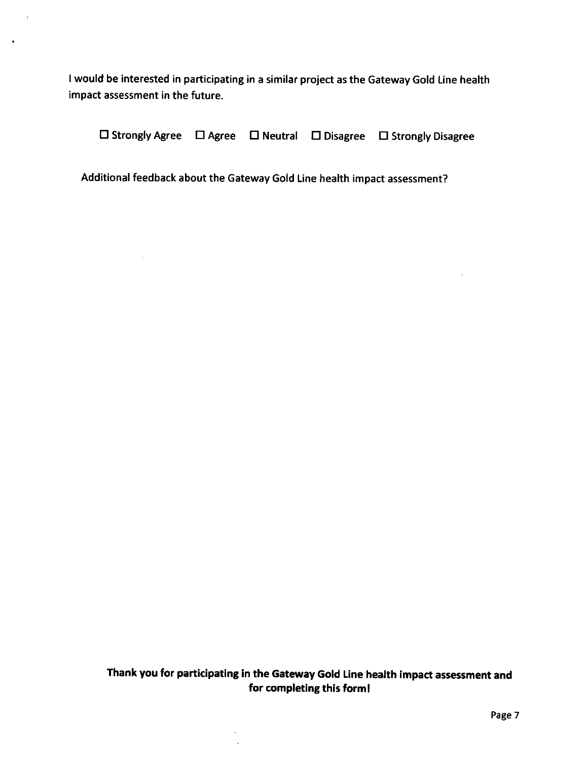<sup>I</sup>would be interested in participating in a similar project as the Gateway Gold Line health impact assessment in the future.

 $\sim$   $\sigma$ 

 $\blacksquare$ 

 $\square$  Strongly Agree  $\square$  Agree  $\square$  Neutral  $\square$  Disagree  $\square$  Strongly Disagree

Additional feedback about the Gateway Gold Line health impact assessment?

 $\sim$ 

Thank you for participating in the Gateway Gold Line heatth impact assessment and for completing this forml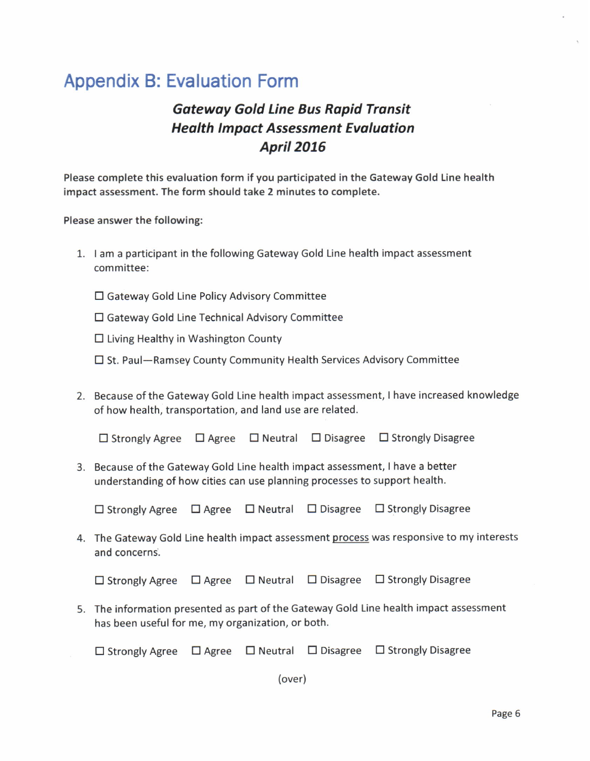## Appendix B: Evaluation Form

## Gatewoy Gold Line Bus Rapid Transit **Health Impact Assessment Evaluation April 2016**

Please complete this evaluation form if you participated in the Gateway Gold line health impact assessment. The form should take 2 minutes to complete.

Please answer the following:

- 1. I am a participant in the following Gateway Gold Line health impact assessment committee:
	- □ Gateway Gold Line Policy Advisory Committee
	- E Gateway Gold Line Technical Advisory Committee
	- $\Box$  Living Healthy in Washington County
	- □ St. Paul-Ramsey County Community Health Services Advisory Committee
- 2. Because ofthe Gateway Gold Line health impact assessment, I have increased knowledge of how health, transportation, and land use are related.

 $\Box$  Strongly Agree  $\Box$  Agree  $\Box$  Neutral  $\Box$  Disagree  $\Box$  Strongly Disagree

3. Because of the Gateway Gold Line health impact assessment, I have a better understanding of how cities can use planning processes to support health.

 $\Box$  Strongly Agree  $\Box$  Agree  $\Box$  Neutral  $\Box$  Disagree  $\Box$  Strongly Disagree

4. The Gateway Gold Line health impact assessment process was responsive to my interests and concerns.

 $\Box$  Strongly Agree  $\Box$  Agree  $\Box$  Neutral  $\Box$  Disagree  $\Box$  Strongly Disagree

5. The information presented as part of the Gateway Gold Line health impact assessment has been useful for me, my organization, or both.

 $\square$  Strongly Agree  $\square$  Agree  $\square$  Neutral  $\square$  Disagree  $\square$  Strongly Disagree

(over)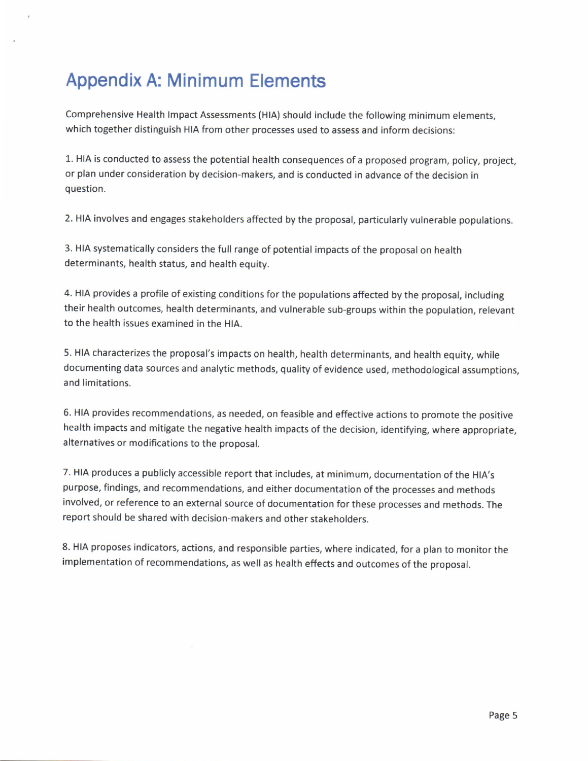## Appendix A: Minimum Elements

Comprehensive Health Impact Assessments (HIA) should include the following minimum elements, which together distinguish HIA from other processes used to assess and inform decisions:

1. HIA is conducted to assess the potential health consequences of a proposed program, policy, project, or plan under consideration by decision-makers, and is conducted in advance of the decision in question.

2. HIA involves and engages stakeholders affected by the proposal, particularly vulnerable populations.

3. HIA systematically considers the full range of potential impacts of the proposal on health determinants, health status, and health equity.

4. HIA provides a profile of existing conditions for the populations affected by the proposal, including their health outcomes, health determinants, and vulnerable sub-groups within the population, relevant to the health issues examined in the HlA.

5. HIA characterizes the proposal's impacts on health, health determinants, and health equity, while documenting data sources and analytic methods, quality of evidence used, methodological assumptions, and limitations.

6. HIA provides recommendations, as needed, on feasible and effective actions to promote the positive health impacts and mitigate the negative health impacts of the decision, identifying, where appropriate, alternatives or modifications to the proposal.

7. HIA produces a publicly accessible report that includes, at minimum, documentation of the HIA's purpose, findings, and recommendations, and either documentation of the processes and methods involved, or reference to an external source of documentation for these processes and methods. The report should be shared with decision-makers and other stakeholders.

8. HIA proposes indicators, actions, and responsible parties, where indicated, for a plan to monitor the implementation of recommendations, as well as health effects and outcomes of the proposal.